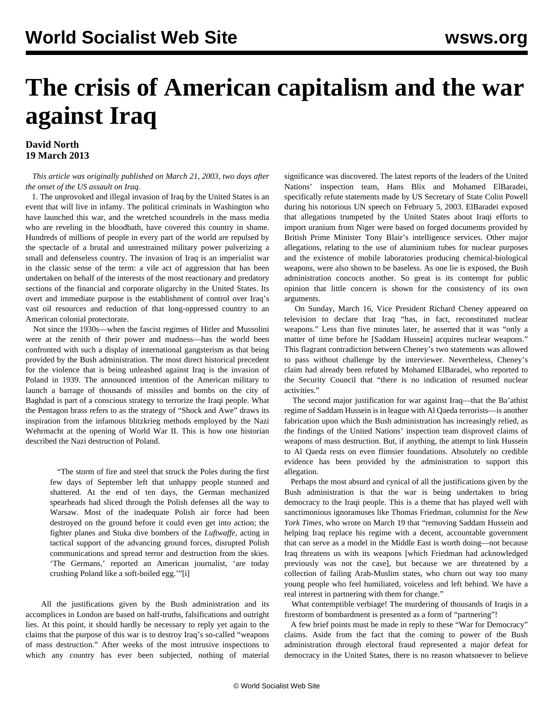## **The crisis of American capitalism and the war against Iraq**

## **David North 19 March 2013**

 *This article was originally published on March 21, 2003, two days after the onset of the US assault on Iraq.*

 1. The unprovoked and illegal invasion of Iraq by the United States is an event that will live in infamy. The political criminals in Washington who have launched this war, and the wretched scoundrels in the mass media who are reveling in the bloodbath, have covered this country in shame. Hundreds of millions of people in every part of the world are repulsed by the spectacle of a brutal and unrestrained military power pulverizing a small and defenseless country. The invasion of Iraq is an imperialist war in the classic sense of the term: a vile act of aggression that has been undertaken on behalf of the interests of the most reactionary and predatory sections of the financial and corporate oligarchy in the United States. Its overt and immediate purpose is the establishment of control over Iraq's vast oil resources and reduction of that long-oppressed country to an American colonial protectorate.

 Not since the 1930s—when the fascist regimes of Hitler and Mussolini were at the zenith of their power and madness—has the world been confronted with such a display of international gangsterism as that being provided by the Bush administration. The most direct historical precedent for the violence that is being unleashed against Iraq is the invasion of Poland in 1939. The announced intention of the American military to launch a barrage of thousands of missiles and bombs on the city of Baghdad is part of a conscious strategy to terrorize the Iraqi people. What the Pentagon brass refers to as the strategy of "Shock and Awe" draws its inspiration from the infamous blitzkrieg methods employed by the Nazi Wehrmacht at the opening of World War II. This is how one historian described the Nazi destruction of Poland.

 "The storm of fire and steel that struck the Poles during the first few days of September left that unhappy people stunned and shattered. At the end of ten days, the German mechanized spearheads had sliced through the Polish defenses all the way to Warsaw. Most of the inadequate Polish air force had been destroyed on the ground before it could even get into action; the fighter planes and Stuka dive bombers of the *Luftwaffe*, acting in tactical support of the advancing ground forces, disrupted Polish communications and spread terror and destruction from the skies. 'The Germans,' reported an American journalist, 'are today crushing Poland like a soft-boiled egg.'"[i]

 All the justifications given by the Bush administration and its accomplices in London are based on half-truths, falsifications and outright lies. At this point, it should hardly be necessary to reply yet again to the claims that the purpose of this war is to destroy Iraq's so-called "weapons of mass destruction." After weeks of the most intrusive inspections to which any country has ever been subjected, nothing of material

significance was discovered. The latest reports of the leaders of the United Nations' inspection team, Hans Blix and Mohamed ElBaradei, specifically refute statements made by US Secretary of State Colin Powell during his notorious UN speech on February 5, 2003. ElBaradei exposed that allegations trumpeted by the United States about Iraqi efforts to import uranium from Niger were based on forged documents provided by British Prime Minister Tony Blair's intelligence services. Other major allegations, relating to the use of aluminium tubes for nuclear purposes and the existence of mobile laboratories producing chemical-biological weapons, were also shown to be baseless. As one lie is exposed, the Bush administration concocts another. So great is its contempt for public opinion that little concern is shown for the consistency of its own arguments.

 On Sunday, March 16, Vice President Richard Cheney appeared on television to declare that Iraq "has, in fact, reconstituted nuclear weapons." Less than five minutes later, he asserted that it was "only a matter of time before he [Saddam Hussein] acquires nuclear weapons." This flagrant contradiction between Cheney's two statements was allowed to pass without challenge by the interviewer. Nevertheless, Cheney's claim had already been refuted by Mohamed ElBaradei, who reported to the Security Council that "there is no indication of resumed nuclear activities."

 The second major justification for war against Iraq—that the Ba'athist regime of Saddam Hussein is in league with Al Qaeda terrorists—is another fabrication upon which the Bush administration has increasingly relied, as the findings of the United Nations' inspection team disproved claims of weapons of mass destruction. But, if anything, the attempt to link Hussein to Al Qaeda rests on even flimsier foundations. Absolutely no credible evidence has been provided by the administration to support this allegation.

 Perhaps the most absurd and cynical of all the justifications given by the Bush administration is that the war is being undertaken to bring democracy to the Iraqi people. This is a theme that has played well with sanctimonious ignoramuses like Thomas Friedman, columnist for the *New York Times*, who wrote on March 19 that "removing Saddam Hussein and helping Iraq replace his regime with a decent, accountable government that can serve as a model in the Middle East is worth doing—not because Iraq threatens us with its weapons [which Friedman had acknowledged previously was not the case], but because we are threatened by a collection of failing Arab-Muslim states, who churn out way too many young people who feel humiliated, voiceless and left behind. We have a real interest in partnering with them for change."

 What contemptible verbiage! The murdering of thousands of Iraqis in a firestorm of bombardment is presented as a form of "partnering"!

 A few brief points must be made in reply to these "War for Democracy" claims. Aside from the fact that the coming to power of the Bush administration through electoral fraud represented a major defeat for democracy in the United States, there is no reason whatsoever to believe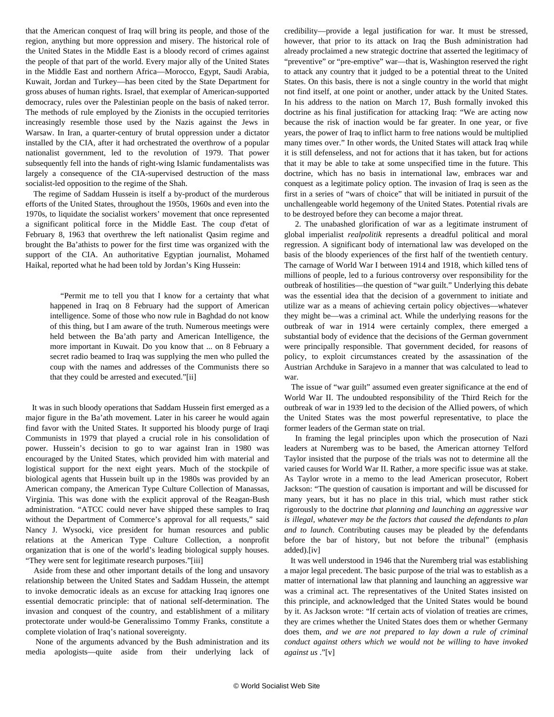that the American conquest of Iraq will bring its people, and those of the region, anything but more oppression and misery. The historical role of the United States in the Middle East is a bloody record of crimes against the people of that part of the world. Every major ally of the United States in the Middle East and northern Africa—Morocco, Egypt, Saudi Arabia, Kuwait, Jordan and Turkey—has been cited by the State Department for gross abuses of human rights. Israel, that exemplar of American-supported democracy, rules over the Palestinian people on the basis of naked terror. The methods of rule employed by the Zionists in the occupied territories increasingly resemble those used by the Nazis against the Jews in Warsaw. In Iran, a quarter-century of brutal oppression under a dictator installed by the CIA, after it had orchestrated the overthrow of a popular nationalist government, led to the revolution of 1979. That power subsequently fell into the hands of right-wing Islamic fundamentalists was largely a consequence of the CIA-supervised destruction of the mass socialist-led opposition to the regime of the Shah.

 The regime of Saddam Hussein is itself a by-product of the murderous efforts of the United States, throughout the 1950s, 1960s and even into the 1970s, to liquidate the socialist workers' movement that once represented a significant political force in the Middle East. The coup d'etat of February 8, 1963 that overthrew the left nationalist Qasim regime and brought the Ba'athists to power for the first time was organized with the support of the CIA. An authoritative Egyptian journalist, Mohamed Haikal, reported what he had been told by Jordan's King Hussein:

 "Permit me to tell you that I know for a certainty that what happened in Iraq on 8 February had the support of American intelligence. Some of those who now rule in Baghdad do not know of this thing, but I am aware of the truth. Numerous meetings were held between the Ba'ath party and American Intelligence, the more important in Kuwait. Do you know that ... on 8 February a secret radio beamed to Iraq was supplying the men who pulled the coup with the names and addresses of the Communists there so that they could be arrested and executed."[ii]

 It was in such bloody operations that Saddam Hussein first emerged as a major figure in the Ba'ath movement. Later in his career he would again find favor with the United States. It supported his bloody purge of Iraqi Communists in 1979 that played a crucial role in his consolidation of power. Hussein's decision to go to war against Iran in 1980 was encouraged by the United States, which provided him with material and logistical support for the next eight years. Much of the stockpile of biological agents that Hussein built up in the 1980s was provided by an American company, the American Type Culture Collection of Manassas, Virginia. This was done with the explicit approval of the Reagan-Bush administration. "ATCC could never have shipped these samples to Iraq without the Department of Commerce's approval for all requests," said Nancy J. Wysocki, vice president for human resources and public relations at the American Type Culture Collection, a nonprofit organization that is one of the world's leading biological supply houses. "They were sent for legitimate research purposes."[iii]

 Aside from these and other important details of the long and unsavory relationship between the United States and Saddam Hussein, the attempt to invoke democratic ideals as an excuse for attacking Iraq ignores one essential democratic principle: that of national self-determination. The invasion and conquest of the country, and establishment of a military protectorate under would-be Generalissimo Tommy Franks, constitute a complete violation of Iraq's national sovereignty.

 None of the arguments advanced by the Bush administration and its media apologists—quite aside from their underlying lack of credibility—provide a legal justification for war. It must be stressed, however, that prior to its attack on Iraq the Bush administration had already proclaimed a new strategic doctrine that asserted the legitimacy of "preventive" or "pre-emptive" war—that is, Washington reserved the right to attack any country that it judged to be a potential threat to the United States. On this basis, there is not a single country in the world that might not find itself, at one point or another, under attack by the United States. In his address to the nation on March 17, Bush formally invoked this doctrine as his final justification for attacking Iraq: "We are acting now because the risk of inaction would be far greater. In one year, or five years, the power of Iraq to inflict harm to free nations would be multiplied many times over." In other words, the United States will attack Iraq while it is still defenseless, and not for actions that it has taken, but for actions that it may be able to take at some unspecified time in the future. This doctrine, which has no basis in international law, embraces war and conquest as a legitimate policy option. The invasion of Iraq is seen as the first in a series of "wars of choice" that will be initiated in pursuit of the unchallengeable world hegemony of the United States. Potential rivals are to be destroyed before they can become a major threat.

 2. The unabashed glorification of war as a legitimate instrument of global imperialist *realpolitik* represents a dreadful political and moral regression. A significant body of international law was developed on the basis of the bloody experiences of the first half of the twentieth century. The carnage of World War I between 1914 and 1918, which killed tens of millions of people, led to a furious controversy over responsibility for the outbreak of hostilities—the question of "war guilt." Underlying this debate was the essential idea that the decision of a government to initiate and utilize war as a means of achieving certain policy objectives—whatever they might be—was a criminal act. While the underlying reasons for the outbreak of war in 1914 were certainly complex, there emerged a substantial body of evidence that the decisions of the German government were principally responsible. That government decided, for reasons of policy, to exploit circumstances created by the assassination of the Austrian Archduke in Sarajevo in a manner that was calculated to lead to war.

 The issue of "war guilt" assumed even greater significance at the end of World War II. The undoubted responsibility of the Third Reich for the outbreak of war in 1939 led to the decision of the Allied powers, of which the United States was the most powerful representative, to place the former leaders of the German state on trial.

 In framing the legal principles upon which the prosecution of Nazi leaders at Nuremberg was to be based, the American attorney Telford Taylor insisted that the purpose of the trials was not to determine all the varied causes for World War II. Rather, a more specific issue was at stake. As Taylor wrote in a memo to the lead American prosecutor, Robert Jackson: "The question of causation is important and will be discussed for many years, but it has no place in this trial, which must rather stick rigorously to the doctrine *that planning and launching an aggressive war is illegal, whatever may be the factors that caused the defendants to plan and to launch*. Contributing causes may be pleaded by the defendants before the bar of history, but not before the tribunal" (emphasis added).[iv]

 It was well understood in 1946 that the Nuremberg trial was establishing a major legal precedent. The basic purpose of the trial was to establish as a matter of international law that planning and launching an aggressive war was a criminal act. The representatives of the United States insisted on this principle, and acknowledged that the United States would be bound by it. As Jackson wrote: "If certain acts of violation of treaties are crimes, they are crimes whether the United States does them or whether Germany does them, *and we are not prepared to lay down a rule of criminal conduct against others which we would not be willing to have invoked against us* ."[v]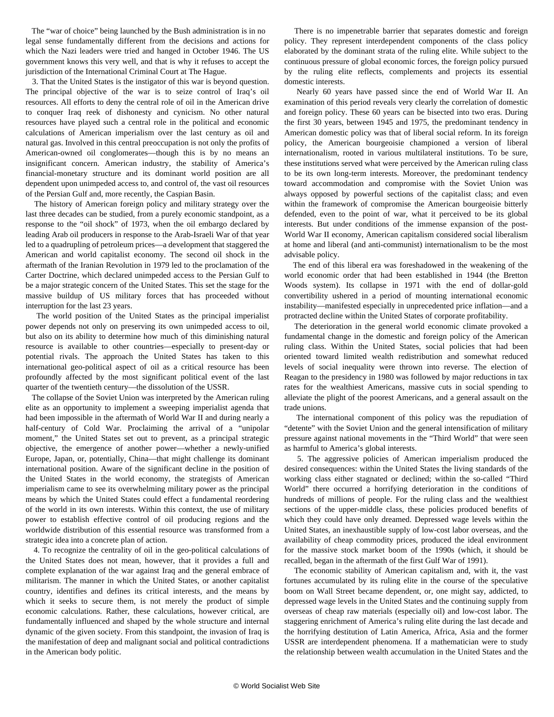The "war of choice" being launched by the Bush administration is in no legal sense fundamentally different from the decisions and actions for which the Nazi leaders were tried and hanged in October 1946. The US government knows this very well, and that is why it refuses to accept the jurisdiction of the International Criminal Court at The Hague.

 3. That the United States is the instigator of this war is beyond question. The principal objective of the war is to seize control of Iraq's oil resources. All efforts to deny the central role of oil in the American drive to conquer Iraq reek of dishonesty and cynicism. No other natural resources have played such a central role in the political and economic calculations of American imperialism over the last century as oil and natural gas. Involved in this central preoccupation is not only the profits of American-owned oil conglomerates—though this is by no means an insignificant concern. American industry, the stability of America's financial-monetary structure and its dominant world position are all dependent upon unimpeded access to, and control of, the vast oil resources of the Persian Gulf and, more recently, the Caspian Basin.

 The history of American foreign policy and military strategy over the last three decades can be studied, from a purely economic standpoint, as a response to the "oil shock" of 1973, when the oil embargo declared by leading Arab oil producers in response to the Arab-Israeli War of that year led to a quadrupling of petroleum prices—a development that staggered the American and world capitalist economy. The second oil shock in the aftermath of the Iranian Revolution in 1979 led to the proclamation of the Carter Doctrine, which declared unimpeded access to the Persian Gulf to be a major strategic concern of the United States. This set the stage for the massive buildup of US military forces that has proceeded without interruption for the last 23 years.

 The world position of the United States as the principal imperialist power depends not only on preserving its own unimpeded access to oil, but also on its ability to determine how much of this diminishing natural resource is available to other countries—especially to present-day or potential rivals. The approach the United States has taken to this international geo-political aspect of oil as a critical resource has been profoundly affected by the most significant political event of the last quarter of the twentieth century—the dissolution of the USSR.

 The collapse of the Soviet Union was interpreted by the American ruling elite as an opportunity to implement a sweeping imperialist agenda that had been impossible in the aftermath of World War II and during nearly a half-century of Cold War. Proclaiming the arrival of a "unipolar moment," the United States set out to prevent, as a principal strategic objective, the emergence of another power—whether a newly-unified Europe, Japan, or, potentially, China—that might challenge its dominant international position. Aware of the significant decline in the position of the United States in the world economy, the strategists of American imperialism came to see its overwhelming military power as the principal means by which the United States could effect a fundamental reordering of the world in its own interests. Within this context, the use of military power to establish effective control of oil producing regions and the worldwide distribution of this essential resource was transformed from a strategic idea into a concrete plan of action.

 4. To recognize the centrality of oil in the geo-political calculations of the United States does not mean, however, that it provides a full and complete explanation of the war against Iraq and the general embrace of militarism. The manner in which the United States, or another capitalist country, identifies and defines its critical interests, and the means by which it seeks to secure them, is not merely the product of simple economic calculations. Rather, these calculations, however critical, are fundamentally influenced and shaped by the whole structure and internal dynamic of the given society. From this standpoint, the invasion of Iraq is the manifestation of deep and malignant social and political contradictions in the American body politic.

 There is no impenetrable barrier that separates domestic and foreign policy. They represent interdependent components of the class policy elaborated by the dominant strata of the ruling elite. While subject to the continuous pressure of global economic forces, the foreign policy pursued by the ruling elite reflects, complements and projects its essential domestic interests.

 Nearly 60 years have passed since the end of World War II. An examination of this period reveals very clearly the correlation of domestic and foreign policy. These 60 years can be bisected into two eras. During the first 30 years, between 1945 and 1975, the predominant tendency in American domestic policy was that of liberal social reform. In its foreign policy, the American bourgeoisie championed a version of liberal internationalism, rooted in various multilateral institutions. To be sure, these institutions served what were perceived by the American ruling class to be its own long-term interests. Moreover, the predominant tendency toward accommodation and compromise with the Soviet Union was always opposed by powerful sections of the capitalist class; and even within the framework of compromise the American bourgeoisie bitterly defended, even to the point of war, what it perceived to be its global interests. But under conditions of the immense expansion of the post-World War II economy, American capitalism considered social liberalism at home and liberal (and anti-communist) internationalism to be the most advisable policy.

 The end of this liberal era was foreshadowed in the weakening of the world economic order that had been established in 1944 (the Bretton Woods system). Its collapse in 1971 with the end of dollar-gold convertibility ushered in a period of mounting international economic instability—manifested especially in unprecedented price inflation—and a protracted decline within the United States of corporate profitability.

 The deterioration in the general world economic climate provoked a fundamental change in the domestic and foreign policy of the American ruling class. Within the United States, social policies that had been oriented toward limited wealth redistribution and somewhat reduced levels of social inequality were thrown into reverse. The election of Reagan to the presidency in 1980 was followed by major reductions in tax rates for the wealthiest Americans, massive cuts in social spending to alleviate the plight of the poorest Americans, and a general assault on the trade unions.

 The international component of this policy was the repudiation of "detente" with the Soviet Union and the general intensification of military pressure against national movements in the "Third World" that were seen as harmful to America's global interests.

 5. The aggressive policies of American imperialism produced the desired consequences: within the United States the living standards of the working class either stagnated or declined; within the so-called "Third World" there occurred a horrifying deterioration in the conditions of hundreds of millions of people. For the ruling class and the wealthiest sections of the upper-middle class, these policies produced benefits of which they could have only dreamed. Depressed wage levels within the United States, an inexhaustible supply of low-cost labor overseas, and the availability of cheap commodity prices, produced the ideal environment for the massive stock market boom of the 1990s (which, it should be recalled, began in the aftermath of the first Gulf War of 1991).

 The economic stability of American capitalism and, with it, the vast fortunes accumulated by its ruling elite in the course of the speculative boom on Wall Street became dependent, or, one might say, addicted, to depressed wage levels in the United States and the continuing supply from overseas of cheap raw materials (especially oil) and low-cost labor. The staggering enrichment of America's ruling elite during the last decade and the horrifying destitution of Latin America, Africa, Asia and the former USSR are interdependent phenomena. If a mathematician were to study the relationship between wealth accumulation in the United States and the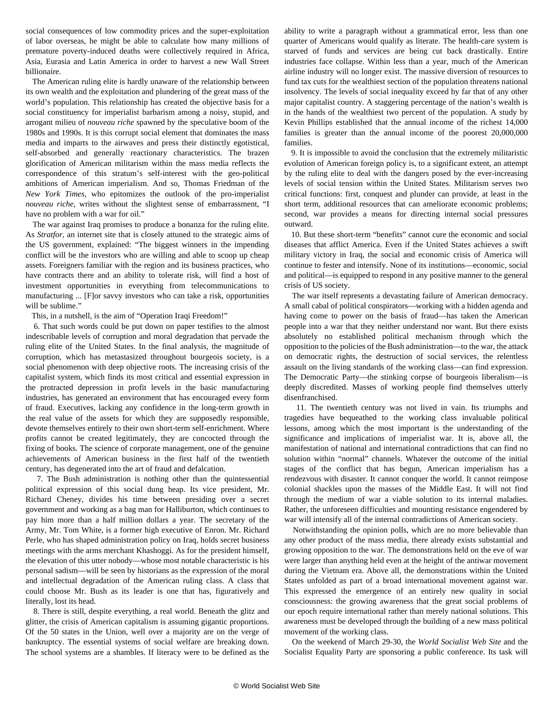social consequences of low commodity prices and the super-exploitation of labor overseas, he might be able to calculate how many millions of premature poverty-induced deaths were collectively required in Africa, Asia, Eurasia and Latin America in order to harvest a new Wall Street billionaire.

 The American ruling elite is hardly unaware of the relationship between its own wealth and the exploitation and plundering of the great mass of the world's population. This relationship has created the objective basis for a social constituency for imperialist barbarism among a noisy, stupid, and arrogant milieu of *nouveau riche* spawned by the speculative boom of the 1980s and 1990s. It is this corrupt social element that dominates the mass media and imparts to the airwaves and press their distinctly egotistical, self-absorbed and generally reactionary characteristics. The brazen glorification of American militarism within the mass media reflects the correspondence of this stratum's self-interest with the geo-political ambitions of American imperialism. And so, Thomas Friedman of the *New York Times*, who epitomizes the outlook of the pro-imperialist *nouveau riche*, writes without the slightest sense of embarrassment, "I have no problem with a war for oil."

 The war against Iraq promises to produce a bonanza for the ruling elite. As *Stratfor*, an internet site that is closely attuned to the strategic aims of the US government, explained: "The biggest winners in the impending conflict will be the investors who are willing and able to scoop up cheap assets. Foreigners familiar with the region and its business practices, who have contracts there and an ability to tolerate risk, will find a host of investment opportunities in everything from telecommunications to manufacturing ... [F]or savvy investors who can take a risk, opportunities will be sublime."

This, in a nutshell, is the aim of "Operation Iraqi Freedom!"

 6. That such words could be put down on paper testifies to the almost indescribable levels of corruption and moral degradation that pervade the ruling elite of the United States. In the final analysis, the magnitude of corruption, which has metastasized throughout bourgeois society, is a social phenomenon with deep objective roots. The increasing crisis of the capitalist system, which finds its most critical and essential expression in the protracted depression in profit levels in the basic manufacturing industries, has generated an environment that has encouraged every form of fraud. Executives, lacking any confidence in the long-term growth in the real value of the assets for which they are supposedly responsible, devote themselves entirely to their own short-term self-enrichment. Where profits cannot be created legitimately, they are concocted through the fixing of books. The science of corporate management, one of the genuine achievements of American business in the first half of the twentieth century, has degenerated into the art of fraud and defalcation.

 7. The Bush administration is nothing other than the quintessential political expression of this social dung heap. Its vice president, Mr. Richard Cheney, divides his time between presiding over a secret government and working as a bag man for Halliburton, which continues to pay him more than a half million dollars a year. The secretary of the Army, Mr. Tom White, is a former high executive of Enron. Mr. Richard Perle, who has shaped administration policy on Iraq, holds secret business meetings with the arms merchant Khashoggi. As for the president himself, the elevation of this utter nobody—whose most notable characteristic is his personal sadism—will be seen by historians as the expression of the moral and intellectual degradation of the American ruling class. A class that could choose Mr. Bush as its leader is one that has, figuratively and literally, lost its head.

 8. There is still, despite everything, a real world. Beneath the glitz and glitter, the crisis of American capitalism is assuming gigantic proportions. Of the 50 states in the Union, well over a majority are on the verge of bankruptcy. The essential systems of social welfare are breaking down. The school systems are a shambles. If literacy were to be defined as the

ability to write a paragraph without a grammatical error, less than one quarter of Americans would qualify as literate. The health-care system is starved of funds and services are being cut back drastically. Entire industries face collapse. Within less than a year, much of the American airline industry will no longer exist. The massive diversion of resources to fund tax cuts for the wealthiest section of the population threatens national insolvency. The levels of social inequality exceed by far that of any other major capitalist country. A staggering percentage of the nation's wealth is in the hands of the wealthiest two percent of the population. A study by Kevin Phillips established that the annual income of the richest 14,000 families is greater than the annual income of the poorest 20,000,000 families.

 9. It is impossible to avoid the conclusion that the extremely militaristic evolution of American foreign policy is, to a significant extent, an attempt by the ruling elite to deal with the dangers posed by the ever-increasing levels of social tension within the United States. Militarism serves two critical functions: first, conquest and plunder can provide, at least in the short term, additional resources that can ameliorate economic problems; second, war provides a means for directing internal social pressures outward.

 10. But these short-term "benefits" cannot cure the economic and social diseases that afflict America. Even if the United States achieves a swift military victory in Iraq, the social and economic crisis of America will continue to fester and intensify. None of its institutions—economic, social and political—is equipped to respond in any positive manner to the general crisis of US society.

 The war itself represents a devastating failure of American democracy. A small cabal of political conspirators—working with a hidden agenda and having come to power on the basis of fraud—has taken the American people into a war that they neither understand nor want. But there exists absolutely no established political mechanism through which the opposition to the policies of the Bush administration—to the war, the attack on democratic rights, the destruction of social services, the relentless assault on the living standards of the working class—can find expression. The Democratic Party—the stinking corpse of bourgeois liberalism—is deeply discredited. Masses of working people find themselves utterly disenfranchised.

 11. The twentieth century was not lived in vain. Its triumphs and tragedies have bequeathed to the working class invaluable political lessons, among which the most important is the understanding of the significance and implications of imperialist war. It is, above all, the manifestation of national and international contradictions that can find no solution within "normal" channels. Whatever the outcome of the initial stages of the conflict that has begun, American imperialism has a rendezvous with disaster. It cannot conquer the world. It cannot reimpose colonial shackles upon the masses of the Middle East. It will not find through the medium of war a viable solution to its internal maladies. Rather, the unforeseen difficulties and mounting resistance engendered by war will intensify all of the internal contradictions of American society.

 Notwithstanding the opinion polls, which are no more believable than any other product of the mass media, there already exists substantial and growing opposition to the war. The demonstrations held on the eve of war were larger than anything held even at the height of the antiwar movement during the Vietnam era. Above all, the demonstrations within the United States unfolded as part of a broad international movement against war. This expressed the emergence of an entirely new quality in social consciousness: the growing awareness that the great social problems of our epoch require international rather than merely national solutions. This awareness must be developed through the building of a new mass political movement of the working class.

 On the weekend of March 29-30, the *World Socialist Web Site* and the Socialist Equality Party are sponsoring a public conference. Its task will